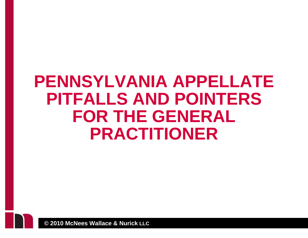#### **PENNSYLVANIA APPELLATE PITFALLS AND POINTERS FOR THE GENERAL PRACTITIONER**

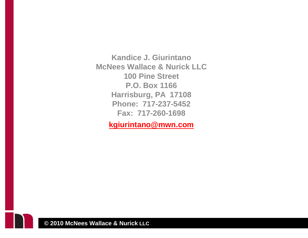**Kandice J. Giurintano McNees Wallace & Nurick LLC 100 Pine Street P.O. Box 1166 Harrisburg, PA 17108 Phone: 717-237-5452 Fax: 717-260-1698** 

**kgiurintano@mwn.com**

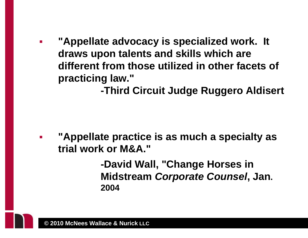$\mathbb{R}^3$  **"Appellate advocacy is specialized work. It draws upon talents and skills which are different from those utilized in other facets of practicing law."** 

 **-Third Circuit Judge Ruggero Aldisert** 

P) **"Appellate practice is as much a specialty as trial work or M&A."** 

> **-David Wall, "Change Horses in Midstream** *Corporate Counsel***, Jan. 2004**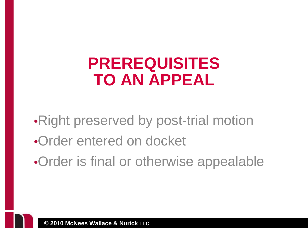#### **PREREQUISITES TO AN APPEAL**

- •Right preserved by post-trial motion
- •Order entered on docket
- •Order is final or otherwise appealable

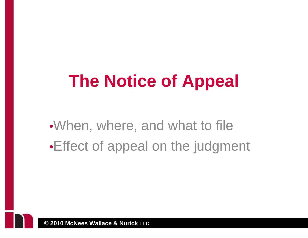# **The Notice of Appeal**

•When, where, and what to file •Effect of appeal on the judgment

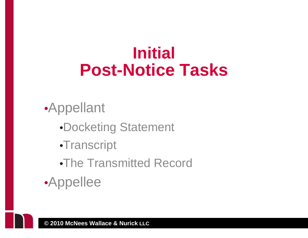## **Initial Post-Notice Tasks**

#### •Appellant

- •Docketing Statement
- •Transcript
- •The Transmitted Record
- •Appellee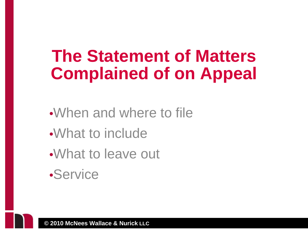## **The Statement of Matters Complained of on Appeal**

- •When and where to file
- •What to include
- •What to leave out
- •Service

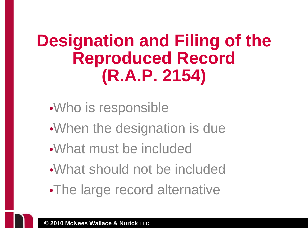## **Designation and Filing of the Reproduced Record (R.A.P. 2154)**

- •Who is responsible
- •When the designation is due
- •What must be included
- •What should not be included
- •The large record alternative

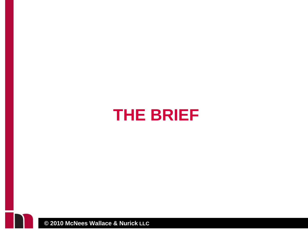#### **THE BRIEF**

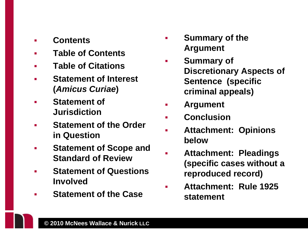- $\mathbf{r}$ **Contents**
- $\blacksquare$ **Table of Contents**
- $\blacksquare$ **Table of Citations**
- $\blacksquare$  **Statement of Interest (***Amicus Curiae***)**
- П **Statement of Jurisdiction**
- п **Statement of the Order in Question**
- $\mathcal{L}_{\mathcal{A}}$  **Statement of Scope and Standard of Review**
- П **Statement of Questions Involved**
- П **Statement of the Case**
- $\mathcal{L}_{\mathcal{A}}$  **Summary of the Argument**
- $\mathcal{L}_{\mathcal{A}}$  **Summary of Discretionary Aspects of Sentence (specific criminal appeals)**
- $\mathcal{L}_{\mathcal{A}}$ **Argument**
- m. **Conclusion**
- ٠ **Attachment: Opinions below**
- $\mathcal{L}_{\mathcal{A}}$  **Attachment: Pleadings (specific cases without a reproduced record)**
- п **Attachment: Rule 1925 statement**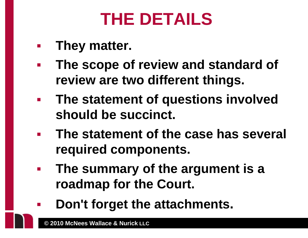# **THE DETAILS**

- $\mathcal{L}_{\mathcal{A}}$ **They matter.**
- $\mathcal{L}_{\mathcal{A}}$  **The scope of review and standard of review are two different things.**
- $\mathcal{L}^{\text{max}}_{\text{max}}$  **The statement of questions involved should be succinct.**
- $\overline{\phantom{a}}$  **The statement of the case has several required components.**
- **The summary of the argument is a roadmap for the Court.**
- **Don't forget the attachments.**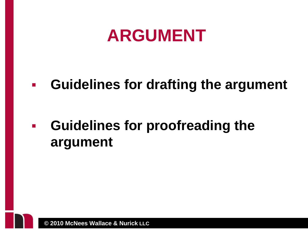#### **ARGUMENT**

#### $\mathcal{L}_{\mathcal{A}}$ **Guidelines for drafting the argument**

#### $\overline{\phantom{a}}$  **Guidelines for proofreading the argument**

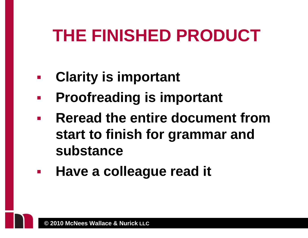# **THE FINISHED PRODUCT**

- $\mathcal{L}_{\mathcal{A}}$ **Clarity is important**
- $\mathcal{L}_{\mathcal{A}}$ **Proofreading is important**
- $\mathcal{L}^{\text{max}}_{\text{max}}$  **Reread the entire document from start to finish for grammar and substance**
- $\mathcal{L}_{\mathcal{A}}$ **Have a colleague read it**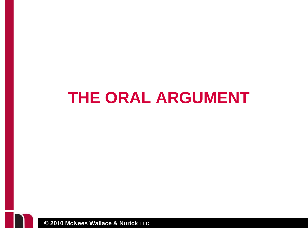#### **THE ORAL ARGUMENT**

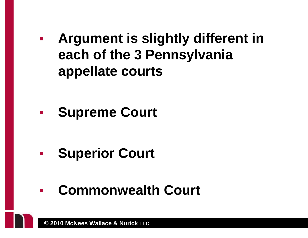**Argument is slightly different in each of the 3 Pennsylvania appellate courts** 

**Supreme Court** 

- $\mathcal{L}_{\mathcal{A}}$ **Superior Court**
- $\mathbf{r}$ **Commonwealth Court**

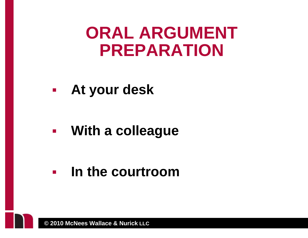#### **ORAL ARGUMENT PREPARATION**

 $\mathcal{L}_{\text{max}}$ **At your desk** 

 $\mathcal{L}_{\text{max}}$ **With a colleague** 

 $\mathbb{R}^n$ **In the courtroom**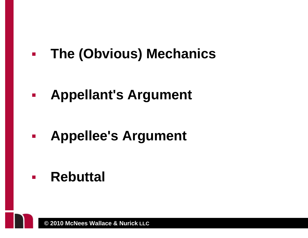$\mathcal{L}_{\text{max}}$ **The (Obvious) Mechanics** 

**Appellant's Argument** 

**Appellee's Argument** 

**Rebuttal**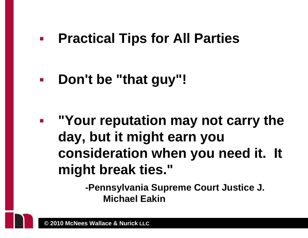#### $\mathcal{L}_{\mathcal{A}}$ **Practical Tips for All Parties**

**Don't be "that guy"!** 

 $\mathcal{L}^{\text{max}}$  **"Your reputation may not carry the day, but it might earn you consideration when you need it. It might break ties."** 

> **-Pennsylvania Supreme Court Justice J. Michael Eakin**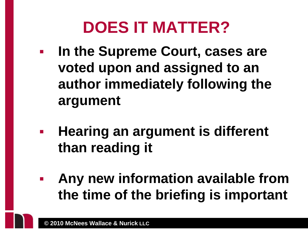# **DOES IT MATTER?**

- $\mathcal{L}_{\mathcal{A}}$  **In the Supreme Court, cases are voted upon and assigned to an author immediately following the argument**
- **Hearing an argument is different than reading it**
- $\mathbf{r}$  **Any new information available from the time of the briefing is important**

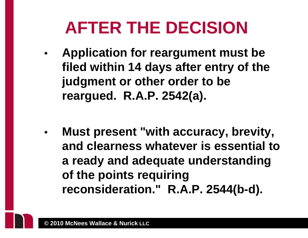# **AFTER THE DECISION**

- • **Application for reargument must be filed within 14 days after entry of the judgment or other order to be reargued. R.A.P. 2542(a).**
- • **Must present "with accuracy, brevity, and clearness whatever is essential to a ready and adequate understanding of the points requiring reconsideration." R.A.P. 2544(b-d).**

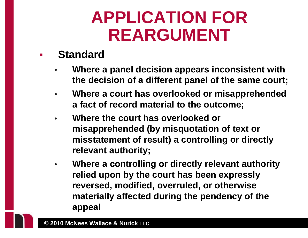## **APPLICATION FOR REARGUMENT**

#### $\mathbb{R}^3$ **Standard**

- • **Where a panel decision appears inconsistent with the decision of a different panel of the same court;**
- $\bullet$  **Where a court has overlooked or misapprehended a fact of record material to the outcome;**
- • **Where the court has overlooked or misapprehended (by misquotation of text or misstatement of result) a controlling or directly relevant authority;**
- $\bullet$  **Where a controlling or directly relevant authority relied upon by the court has been expressly reversed, modified, overruled, or otherwise materially affected during the pendency of the appeal**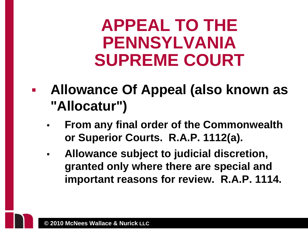#### **APPEAL TO THE PENNSYLVANIA SUPREME COURT**

- p. **Allowance Of Appeal (also known as "Allocatur")** 
	- • **From any final order of the Commonwealth or Superior Courts. R.A.P. 1112(a).**
	- $\bullet$  **Allowance subject to judicial discretion, granted only where there are special and important reasons for review. R.A.P. 1114.**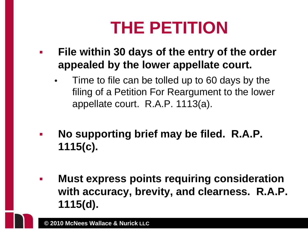# **THE PETITION**

- $\mathbb{R}^3$  **File within 30 days of the entry of the order appealed by the lower appellate court.** 
	- • Time to file can be tolled up to 60 days by the filing of a Petition For Reargument to the lower appellate court. R.A.P. 1113(a).
- $\mathcal{L}_{\mathcal{A}}$  **No supporting brief may be filed. R.A.P. 1115(c).**
- $\mathcal{L}_{\mathcal{A}}$  **Must express points requiring consideration with accuracy, brevity, and clearness. R.A.P. 1115(d).**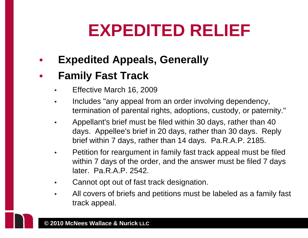# **EXPEDITED RELIEF**

 $\mathbb{R}^3$ **Expedited Appeals, Generally** 

#### $\mathbb{R}^3$ **Family Fast Track**

- •Effective March 16, 2009
- • Includes "any appeal from an order involving dependency, termination of parental rights, adoptions, custody, or paternity."
- • Appellant's brief must be filed within 30 days, rather than 40 days. Appellee's brief in 20 days, rather than 30 days. Reply brief within 7 days, rather than 14 days. Pa.R.A.P. 2185.
- • Petition for reargument in family fast track appeal must be filed within 7 days of the order, and the answer must be filed 7 days later. Pa.R.A.P. 2542.
- •Cannot opt out of fast track designation.
- • All covers of briefs and petitions must be labeled as a family fast track appeal.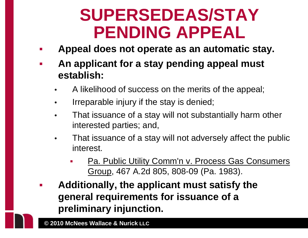## **SUPERSEDEAS/STAY PENDING APPEAL**

- P) **Appeal does not operate as an automatic stay.**
- P) **An applicant for a stay pending appeal must establish:** 
	- •A likelihood of success on the merits of the appeal;
	- •Irreparable injury if the stay is denied;
	- • That issuance of a stay will not substantially harm other interested parties; and,
	- • That issuance of a stay will not adversely affect the public interest.
		- П Pa. Public Utility Comm'n v. Process Gas Consumers Group, 467 A.2d 805, 808-09 (Pa. 1983).
- $\mathbb{R}^3$  **Additionally, the applicant must satisfy the general requirements for issuance of a preliminary injunction.**